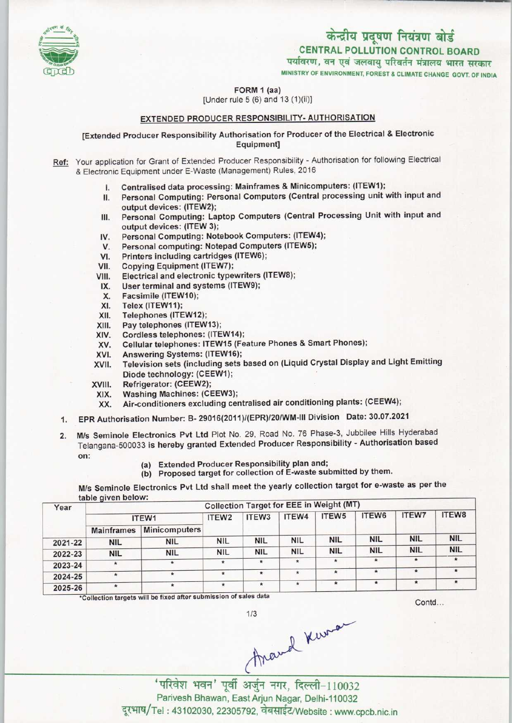

CENTRAL POLLUTION CONTROL BOARD<br>पर्यावरण, वन एवं जलवायु परिवर्तन मंत्रालय भारत सरकार

MINISTRY OF ENVIRONMENT, FOREST & CLIMATE CHANGE GOVT. OF INDIA

FORM 1 (aa) [Under rule 5 (6) and 13 (1)(ii)]

### EXTENDED PRODUCER RESPONSIBILITY- AUTHORISATION

[Extended Producer Responsibility Authorisation for Producer of the Electrical & Electronic Equipment]

- Ref: Your application for Grant of Extended Producer Responsibility Authorisation for following Electrical & Electronic Equipment under E-Waste (Management) Rules, 2016
	- I. Centralised data processing: Mainframes & Minicomputers: (ITEW1);
	- II. Personal Computing: Personal Computers (Central processing unit with input and output devices: (ITEW2);
	- III. Personal Computing: Laptop Computers (Central Processing Unit with input and output devices: (ITEW 3); III. Personal Computing: Laptop Computers (Central Protection<br>
	IV. Personal Computing: Notebook Computers: (ITEW4);<br>
	V. Personal Computing: Notebook Computers: (ITEW4);
	- output devices: (ITEW 3);<br>V. Personal Computing: Notebook Computers: (ITEW<br>V. Personal computing: Notepad Computers (ITEW5);
	- IV. Personal Computing: Notebook Computers: (ITEW-<br>V. Personal computing: Notepad Computers (ITEW5);<br>VI. Printers including cartridges (ITEW6);<br>VII. Copying Equipment (ITEW7);
	-
	-
	- VI. Printers including cartridges (ITEW6);<br>VII. Copying Equipment (ITEW7);<br>VIII. Electrical and electronic typewriters (I VIII. Electrical and electronic typewriters (ITEW8);<br>IX. User terminal and systems (ITEW9);
	- IX. User terminal and systems (ITEW9);<br>X. Facsimile (ITEW10);<br>X. Telex (ITEW11);
	-
	-
	- X. Facsimile (ITEW10);<br>XI. Telex (ITEW11);<br>XII. Telephones (ITEW12 XII. Telephones (ITEW12);<br>XIII. Pay telephones (ITEW
	- XIII. Pay telephones (ITEW13);<br>XIV. Cordless telephones: (ITE
	- XIV. Cordless telephones: (ITEW14);<br>XV. Cellular telephones: ITEW15 (Fe
	- XIV. Cellular telephones: (ITEW14),<br>XV. Cellular telephones: ITEW15 (Feature Phones & Smart Phones);<br>XVI. Answering Systems: (ITEW16);<br>XVII. Television sets (including sets based on (Liquid Crystal Display
	-
	- XVI. Answering Systems: (ITEW16);<br>XVII. Television sets (including sets based on (Liquid Crystal Display and Light Emitting Diode technology: (CEEW1);
	- XVIII. Refrigerator: (CEEW2);
		- XIX. Washing Machines: (CEEW3);<br>XX. Air-conditioners excluding cer
		- Air-conditioners excluding centralised air conditioning plants: (CEEW4);
	- 1.EPR Authorisation Number: B- 29016(2011}/(EPR)/20/WM-lll Division Date: 30.07.2021
	- 2. M/s Seminole Electronics Pvt Ltd Plot No. 29, Road No. 76 Phase-3, Jubbilee Hills Hyderabad Telangana-500033 is hereby granted Extended Producer Responsibility - Authorisation based on:
		- (a)Extended Producer Responsibility plan and;
		- (b) Proposed target for collection of E-waste submitted by them.

M/s Seminole Electronics Pvt Ltd shall meet the yearly collection target for e-waste as per the table qiven below:

| Year    | rania diversionale.<br><b>Collection Target for EEE in Weight (MT)</b> |                      |                   |                   |            |                   |            |              |            |  |  |
|---------|------------------------------------------------------------------------|----------------------|-------------------|-------------------|------------|-------------------|------------|--------------|------------|--|--|
|         | ITEW1                                                                  |                      | ITEW <sub>2</sub> | ITEW <sub>3</sub> | ITEW4      | ITEW <sub>5</sub> | ITEW6      | <b>ITEW7</b> | ITEW8      |  |  |
|         | <b>Mainframes</b>                                                      | <b>Minicomputers</b> |                   |                   |            |                   |            |              |            |  |  |
| 2021-22 | <b>NIL</b>                                                             | NIL                  | <b>NIL</b>        | <b>NIL</b>        | <b>NIL</b> | <b>NIL</b>        | <b>NIL</b> | <b>NIL</b>   | <b>NIL</b> |  |  |
| 2022-23 | <b>NIL</b>                                                             | <b>NIL</b>           | <b>NIL</b>        | <b>NIL</b>        | <b>NIL</b> | <b>NIL</b>        | <b>NIL</b> | <b>NIL</b>   | <b>NIL</b> |  |  |
| 2023-24 | $\star$                                                                | $\star$              |                   | $\star$           | $\star$    |                   | $\star$    |              |            |  |  |
| 2024-25 | $\star$                                                                | $\star$              | ٠                 | $\star$           |            | $\star$           | $\star$    | $\star$      | $\star$    |  |  |
| 2025-26 | 大                                                                      | $\star$              |                   | $\star$           | ٠          | $\star$           | $\star$    | $\star$      | $\star$    |  |  |

Contd...

"Collection targets will be fixed after submission of sales data<br>1/3<br>'परिवेश भवन' पूर्वी अर्जुन नगर, दिल्ली-110032

Parivesh Bhawan, East Arjun Nagar, Delhi-110032 दूरभाष/Tel: 43102030, 22305792, वेबसाईट/Website : www.cpcb.nic.in

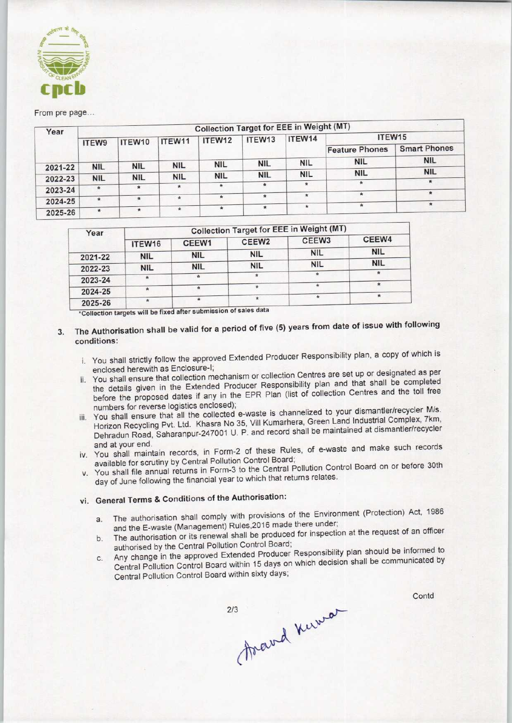

#### From pre page..

| Year    | <b>Collection Target for EEE in Weight (MT)</b> |            |            |             |                    |            |                       |                     |  |  |  |
|---------|-------------------------------------------------|------------|------------|-------------|--------------------|------------|-----------------------|---------------------|--|--|--|
|         | <b>ITEW9</b>                                    | ITEW10     | ITEW11     | ITEW12      | ITEW <sub>13</sub> | ITEW14     | ITEW15                |                     |  |  |  |
|         |                                                 |            |            |             |                    |            | <b>Feature Phones</b> | <b>Smart Phones</b> |  |  |  |
|         |                                                 |            |            | <b>NIL</b>  | <b>NIL</b>         | <b>NIL</b> | <b>NIL</b>            | <b>NIL</b>          |  |  |  |
| 2021-22 | <b>NIL</b>                                      | <b>NIL</b> | <b>NIL</b> |             |                    |            |                       | <b>NIL</b>          |  |  |  |
| 2022-23 | <b>NIL</b>                                      | <b>NIL</b> | <b>NIL</b> | <b>NIL</b>  | <b>NIL</b>         | <b>NIL</b> | <b>NIL</b>            |                     |  |  |  |
|         |                                                 | $\star$    | $\star$    | $\pmb{\pi}$ |                    | $\star$    | $\star$               |                     |  |  |  |
| 2023-24 | *                                               |            |            |             |                    |            | $\star$               | $\star$             |  |  |  |
| 2024-25 | $\pmb{\pi}$                                     | $\star$    |            | $\star$     | $\star$            |            |                       |                     |  |  |  |
| 2025-26 | $\star$                                         | $\star$    | <b>RE</b>  | $\star$     | $\star$            | $\star$    |                       |                     |  |  |  |

| Year    | <b>Collection Target for EEE in Weight (MT)</b> |                    |                   |                   |               |  |  |
|---------|-------------------------------------------------|--------------------|-------------------|-------------------|---------------|--|--|
|         | ITEW16                                          | CEEW1              | CEEW <sub>2</sub> | CEEW <sub>3</sub> | CEEW4         |  |  |
| 2021-22 | <b>NIL</b>                                      | <b>NIL</b>         | <b>NIL</b>        | <b>NIL</b>        | <b>NIL</b>    |  |  |
| 2022-23 | <b>NIL</b>                                      | <b>NIL</b>         | <b>NIL</b>        | <b>NIL</b>        | <b>NIL</b>    |  |  |
| 2023-24 |                                                 | $\dot{\mathbf{x}}$ |                   | Ŕ                 | $\frac{1}{2}$ |  |  |
| 2024-25 |                                                 | *                  |                   |                   |               |  |  |
| 2025-26 |                                                 | $\frac{1}{2}$      |                   |                   | $\star$       |  |  |

\*Collection targets will be fixed after submission of sales data

- 3. The Authorisation shall be valid for a period of five (5) years from date of issue with following conditions:
	- i. You shall strictly follow the approved Extended Producer Responsibility plan, a copy of which is enclosed herewith as Enclosure-I;
	- ii. You shall ensure that collection mechanism or collection Centres are set up or designated as per the details given in the Extended Producer Responsibility plan and that shall be completed before the proposed dates if any in the EPR Plan (list of collection Centres and the toll free numbers for reverse logistics enclosed);
	- iii. You shall ensure that all the collected e-waste is channelized to your dismantler/recycler M/s. Horizon Recycling Pvt. Ltd. Khasra No 35, Vill Kumarhera, Green Land Industrial Complex, 7km, Dehradun Road, Saharanpur-247001 U. P. and record shall be maintained at dismantler/recycler
	- and at your end.<br>in the lumintain records, in Form-2 of these Rules, of e-waste and make such records available for scrutiny by Central Pollution Control Board;
	- v. You shall file annual returns in Form-3 to the Central Pollution Control Board on or before 30th day of June following the financial year to which that returns relates.

## vi. General Terms & Conditions of the Authorisation:

- a. The authorisation shall comply with provisions of the Environment (Protection) Act, 1986 and the E-waste (Management) Rules,2016 made there under;
- b. The authorisation or its renewal shall be produced for inspection at the request of an officer authorised by the Central Pollution Control Board;
- C. Any change in the approved Extended Producer Responsibility plan should be informed to Central Pollution Control Board within 15 days on which decision shall be communicated by Central Pollution Control Board within sixty days;

 $2/3$ 

thand know

**Contd**